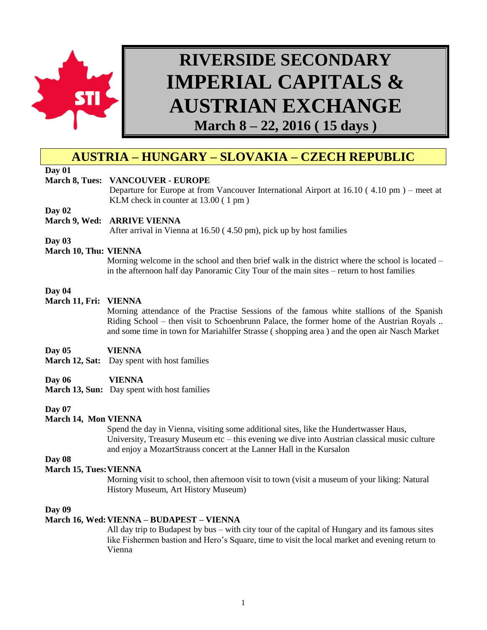

# **RIVERSIDE SECONDARY IMPERIAL CAPITALS & AUSTRIAN EXCHANGE**

**March 8 – 22, 2016 ( 15 days )**

# **AUSTRIA – HUNGARY – SLOVAKIA – CZECH REPUBLIC**

# **Day 01**

#### **March 8, Tues: VANCOUVER - EUROPE**

Departure for Europe at from Vancouver International Airport at 16.10 ( 4.10 pm ) – meet at KLM check in counter at 13.00 ( 1 pm )

**Day 02**

#### **March 9, Wed: ARRIVE VIENNA**

After arrival in Vienna at 16.50 ( 4.50 pm), pick up by host families

**Day 03**

#### **March 10, Thu: VIENNA**

Morning welcome in the school and then brief walk in the district where the school is located – in the afternoon half day Panoramic City Tour of the main sites – return to host families

#### **Day 04**

#### **March 11, Fri: VIENNA**

Morning attendance of the Practise Sessions of the famous white stallions of the Spanish Riding School – then visit to Schoenbrunn Palace, the former home of the Austrian Royals .. and some time in town for Mariahilfer Strasse ( shopping area ) and the open air Nasch Market

#### **Day 05 VIENNA**

**March 12, Sat:** Day spent with host families

#### **Day 06 VIENNA**

**March 13, Sun:** Day spent with host families

#### **Day 07**

# **March 14, Mon VIENNA**

Spend the day in Vienna, visiting some additional sites, like the Hundertwasser Haus, University, Treasury Museum etc – this evening we dive into Austrian classical music culture and enjoy a MozartStrauss concert at the Lanner Hall in the Kursalon

# **Day 08**

# **March 15, Tues:VIENNA**

Morning visit to school, then afternoon visit to town (visit a museum of your liking: Natural History Museum, Art History Museum)

#### **Day 09**

#### **March 16, Wed:VIENNA – BUDAPEST – VIENNA**

All day trip to Budapest by bus – with city tour of the capital of Hungary and its famous sites like Fishermen bastion and Hero's Square, time to visit the local market and evening return to Vienna